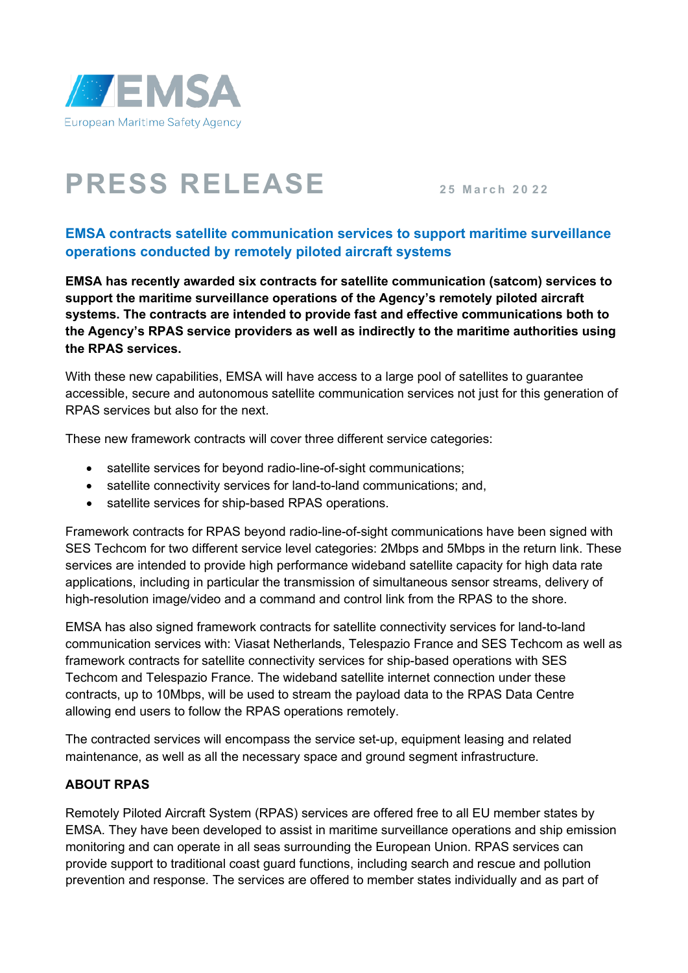

## **PRESS RELEASE <sup>2</sup> <sup>5</sup> March 2 0 <sup>2</sup> <sup>2</sup>**

## **EMSA contracts satellite communication services to support maritime surveillance operations conducted by remotely piloted aircraft systems**

**EMSA has recently awarded six contracts for satellite communication (satcom) services to support the maritime surveillance operations of the Agency's remotely piloted aircraft systems. The contracts are intended to provide fast and effective communications both to the Agency's RPAS service providers as well as indirectly to the maritime authorities using the RPAS services.**

With these new capabilities, EMSA will have access to a large pool of satellites to guarantee accessible, secure and autonomous satellite communication services not just for this generation of RPAS services but also for the next.

These new framework contracts will cover three different service categories:

- satellite services for beyond radio-line-of-sight communications;
- satellite connectivity services for land-to-land communications; and,
- satellite services for ship-based RPAS operations.

Framework contracts for RPAS beyond radio-line-of-sight communications have been signed with SES Techcom for two different service level categories: 2Mbps and 5Mbps in the return link. These services are intended to provide high performance wideband satellite capacity for high data rate applications, including in particular the transmission of simultaneous sensor streams, delivery of high-resolution image/video and a command and control link from the RPAS to the shore.

EMSA has also signed framework contracts for satellite connectivity services for land-to-land communication services with: Viasat Netherlands, Telespazio France and SES Techcom as well as framework contracts for satellite connectivity services for ship-based operations with SES Techcom and Telespazio France. The wideband satellite internet connection under these contracts, up to 10Mbps, will be used to stream the payload data to the RPAS Data Centre allowing end users to follow the RPAS operations remotely.

The contracted services will encompass the service set-up, equipment leasing and related maintenance, as well as all the necessary space and ground segment infrastructure.

## **ABOUT RPAS**

Remotely Piloted Aircraft System (RPAS) services are offered free to all EU member states by EMSA. They have been developed to assist in maritime surveillance operations and ship emission monitoring and can operate in all seas surrounding the European Union. RPAS services can provide support to traditional coast guard functions, including search and rescue and pollution prevention and response. The services are offered to member states individually and as part of